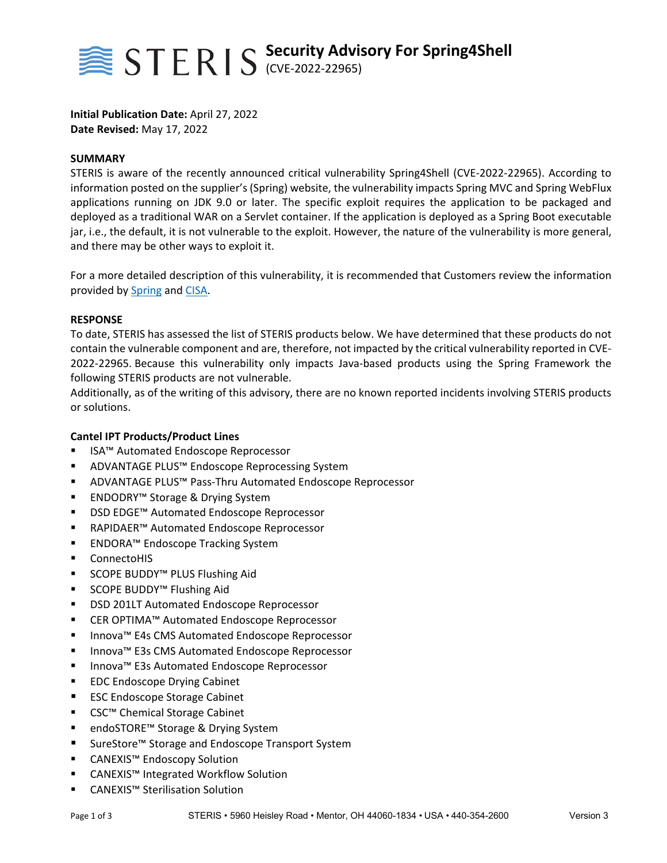

**Initial Publication Date:** April 27, 2022 **Date Revised:** May 17, 2022

#### **SUMMARY**

STERIS is aware of the recently announced critical vulnerability Spring4Shell (CVE‐2022‐22965). According to information posted on the supplier's (Spring) website, the vulnerability impacts Spring MVC and Spring WebFlux applications running on JDK 9.0 or later. The specific exploit requires the application to be packaged and deployed as a traditional WAR on a Servlet container. If the application is deployed as a Spring Boot executable jar, i.e., the default, it is not vulnerable to the exploit. However, the nature of the vulnerability is more general, and there may be other ways to exploit it.

For a more detailed description of this vulnerability, it is recommended that Customers review the information provided by Spring and CISA.

#### **RESPONSE**

To date, STERIS has assessed the list of STERIS products below. We have determined that these products do not contain the vulnerable component and are, therefore, not impacted by the critical vulnerability reported in CVE‐ 2022‐22965. Because this vulnerability only impacts Java‐based products using the Spring Framework the following STERIS products are not vulnerable.

Additionally, as of the writing of this advisory, there are no known reported incidents involving STERIS products or solutions.

### **Cantel IPT Products/Product Lines**

- ISA™ Automated Endoscope Reprocessor
- ADVANTAGE PLUS<sup>™</sup> Endoscope Reprocessing System
- ADVANTAGE PLUS<sup>™</sup> Pass-Thru Automated Endoscope Reprocessor
- ENDODRY™ Storage & Drying System
- DSD EDGE™ Automated Endoscope Reprocessor
- RAPIDAER™ Automated Endoscope Reprocessor
- ENDORA™ Endoscope Tracking System
- **ConnectoHIS**
- SCOPE BUDDY™ PLUS Flushing Aid
- SCOPE BUDDY<sup>™</sup> Flushing Aid
- **DSD 201LT Automated Endoscope Reprocessor**
- CER OPTIMA™ Automated Endoscope Reprocessor
- Innova<sup>™</sup> E4s CMS Automated Endoscope Reprocessor
- Innova<sup>™</sup> E3s CMS Automated Endoscope Reprocessor
- Innova<sup>™</sup> E3s Automated Endoscope Reprocessor
- **EDC Endoscope Drying Cabinet**
- **ESC Endoscope Storage Cabinet**
- CSC<sup>™</sup> Chemical Storage Cabinet
- endoSTORE™ Storage & Drying System
- SureStore™ Storage and Endoscope Transport System
- CANEXIS<sup>™</sup> Endoscopy Solution
- CANEXIS™ Integrated Workflow Solution
- CANEXIS<sup>™</sup> Sterilisation Solution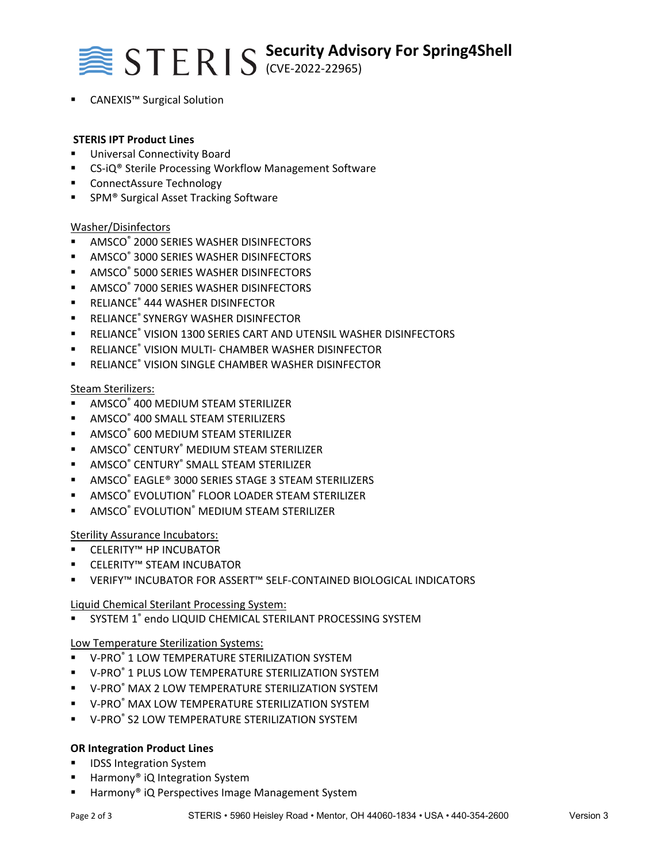

CANEXIS™ Surgical Solution

### **STERIS IPT Product Lines**

- Universal Connectivity Board
- CS-iQ<sup>®</sup> Sterile Processing Workflow Management Software
- ConnectAssure Technology
- SPM® Surgical Asset Tracking Software

### Washer/Disinfectors

- **AMSCO<sup>®</sup> 2000 SERIES WASHER DISINFECTORS**
- **AMSCO<sup>®</sup> 3000 SERIES WASHER DISINFECTORS**
- **AMSCO® 5000 SERIES WASHER DISINFECTORS**
- **AMSCO<sup>®</sup> 7000 SERIES WASHER DISINFECTORS**
- RELIANCE® 444 WASHER DISINFECTOR
- **RELIANCE® SYNERGY WASHER DISINFECTOR**
- **E** RELIANCE® VISION 1300 SERIES CART AND UTENSIL WASHER DISINFECTORS
- RELIANCE® VISION MULTI- CHAMBER WASHER DISINFECTOR
- **E** RELIANCE® VISION SINGLE CHAMBER WASHER DISINFECTOR

### Steam Sterilizers:

- **AMSCO<sup>®</sup> 400 MEDIUM STEAM STERILIZER**
- **AMSCO®** 400 SMALL STEAM STERILIZERS
- **AMSCO® 600 MEDIUM STEAM STERILIZER**
- **E** AMSCO<sup>®</sup> CENTURY<sup>®</sup> MEDIUM STEAM STERILIZER
- **E** AMSCO<sup>®</sup> CENTURY<sup>®</sup> SMALL STEAM STERILIZER
- AMSCO® EAGLE® 3000 SERIES STAGE 3 STEAM STERILIZERS
- **AMSCO<sup>®</sup> EVOLUTION<sup>®</sup> FLOOR LOADER STEAM STERILIZER**
- **AMSCO<sup>®</sup> EVOLUTION<sup>®</sup> MEDIUM STEAM STERILIZER**

Sterility Assurance Incubators:

- CELERITY™ HP INCUBATOR
- CELERITY™ STEAM INCUBATOR
- VERIFY™ INCUBATOR FOR ASSERT™ SELF‐CONTAINED BIOLOGICAL INDICATORS

Liquid Chemical Sterilant Processing System:

**SYSTEM 1<sup>®</sup> endo LIQUID CHEMICAL STERILANT PROCESSING SYSTEM** 

Low Temperature Sterilization Systems:

- V-PRO® 1 LOW TEMPERATURE STERILIZATION SYSTEM
- V-PRO® 1 PLUS LOW TEMPERATURE STERILIZATION SYSTEM
- V-PRO® MAX 2 LOW TEMPERATURE STERILIZATION SYSTEM
- V-PRO® MAX LOW TEMPERATURE STERILIZATION SYSTEM
- V-PRO® S2 LOW TEMPERATURE STERILIZATION SYSTEM

## **OR Integration Product Lines**

- **IDSS Integration System**
- Harmony® iQ Integration System
- Harmony® iQ Perspectives Image Management System